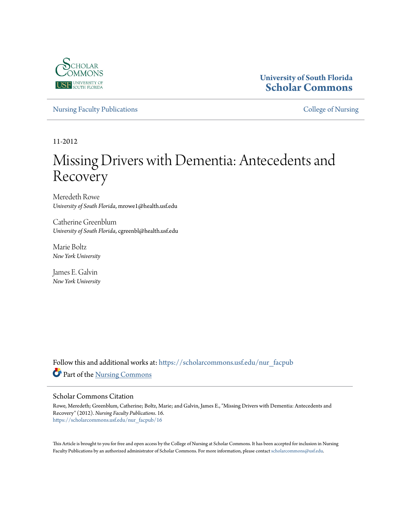

## **University of South Florida [Scholar Commons](https://scholarcommons.usf.edu?utm_source=scholarcommons.usf.edu%2Fnur_facpub%2F16&utm_medium=PDF&utm_campaign=PDFCoverPages)**

[Nursing Faculty Publications](https://scholarcommons.usf.edu/nur_facpub?utm_source=scholarcommons.usf.edu%2Fnur_facpub%2F16&utm_medium=PDF&utm_campaign=PDFCoverPages) **[College of Nursing](https://scholarcommons.usf.edu/nur?utm_source=scholarcommons.usf.edu%2Fnur_facpub%2F16&utm_medium=PDF&utm_campaign=PDFCoverPages)** 

11-2012

# Missing Drivers with Dementia: Antecedents and Recovery

Meredeth Rowe *University of South Florida*, mrowe1@health.usf.edu

Catherine Greenblum *University of South Florida*, cgreenbl@health.usf.edu

Marie Boltz *New York University*

James E. Galvin *New York University*

Follow this and additional works at: [https://scholarcommons.usf.edu/nur\\_facpub](https://scholarcommons.usf.edu/nur_facpub?utm_source=scholarcommons.usf.edu%2Fnur_facpub%2F16&utm_medium=PDF&utm_campaign=PDFCoverPages) Part of the [Nursing Commons](http://network.bepress.com/hgg/discipline/718?utm_source=scholarcommons.usf.edu%2Fnur_facpub%2F16&utm_medium=PDF&utm_campaign=PDFCoverPages)

#### Scholar Commons Citation

Rowe, Meredeth; Greenblum, Catherine; Boltz, Marie; and Galvin, James E., "Missing Drivers with Dementia: Antecedents and Recovery" (2012). *Nursing Faculty Publications*. 16. [https://scholarcommons.usf.edu/nur\\_facpub/16](https://scholarcommons.usf.edu/nur_facpub/16?utm_source=scholarcommons.usf.edu%2Fnur_facpub%2F16&utm_medium=PDF&utm_campaign=PDFCoverPages)

This Article is brought to you for free and open access by the College of Nursing at Scholar Commons. It has been accepted for inclusion in Nursing Faculty Publications by an authorized administrator of Scholar Commons. For more information, please contact [scholarcommons@usf.edu.](mailto:scholarcommons@usf.edu)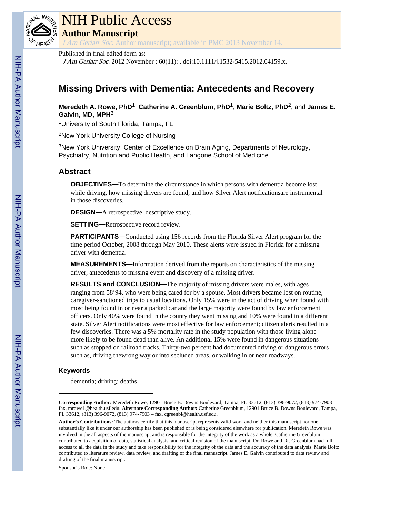

# NIH Public Access

**Author Manuscript**

J Am Geriatr Soc. Author manuscript; available in PMC 2013 November 14.

Published in final edited form as:

J Am Geriatr Soc. 2012 November ; 60(11): . doi:10.1111/j.1532-5415.2012.04159.x.

## **Missing Drivers with Dementia: Antecedents and Recovery**

## **Meredeth A. Rowe, PhD**1, **Catherine A. Greenblum, PhD**1, **Marie Boltz, PhD**2, and **James E. Galvin, MD, MPH**<sup>3</sup>

<sup>1</sup>University of South Florida, Tampa, FL

<sup>2</sup>New York University College of Nursing

<sup>3</sup>New York University: Center of Excellence on Brain Aging, Departments of Neurology, Psychiatry, Nutrition and Public Health, and Langone School of Medicine

## **Abstract**

**OBJECTIVES—**To determine the circumstance in which persons with dementia become lost while driving, how missing drivers are found, and how Silver Alert notificationsare instrumental in those discoveries.

**DESIGN—**A retrospective, descriptive study.

**SETTING—**Retrospective record review.

**PARTICIPANTS—**Conducted using 156 records from the Florida Silver Alert program for the time period October, 2008 through May 2010. These alerts were issued in Florida for a missing driver with dementia.

**MEASUREMENTS—**Information derived from the reports on characteristics of the missing driver, antecedents to missing event and discovery of a missing driver.

**RESULTS and CONCLUSION—**The majority of missing drivers were males, with ages ranging from 58'94, who were being cared for by a spouse. Most drivers became lost on routine, caregiver-sanctioned trips to usual locations. Only 15% were in the act of driving when found with most being found in or near a parked car and the large majority were found by law enforcement officers. Only 40% were found in the county they went missing and 10% were found in a different state. Silver Alert notifications were most effective for law enforcement; citizen alerts resulted in a few discoveries. There was a 5% mortality rate in the study population with those living alone more likely to be found dead than alive. An additional 15% were found in dangerous situations such as stopped on railroad tracks. Thirty-two percent had documented driving or dangerous errors such as, driving thewrong way or into secluded areas, or walking in or near roadways.

## **Keywords**

dementia; driving; deaths

Sponsor's Role: None

**Corresponding Author:** Meredeth Rowe, 12901 Bruce B. Downs Boulevard, Tampa, FL 33612, (813) 396-9072, (813) 974-7903 – fax, mrowe1@health.usf.edu. **Alternate Corresponding Author:** Catherine Greenblum, 12901 Bruce B. Downs Boulevard, Tampa, FL 33612, (813) 396-9072, (813) 974-7903 – fax, cgreenbl@health.usf.edu.

**Author's Contributions:** The authors certify that this manuscript represents valid work and neither this manuscript nor one substantially like it under our authorship has been published or is being considered elsewhere for publication. Meredeth Rowe was involved in the all aspects of the manuscript and is responsible for the integrity of the work as a whole. Catherine Greenblum contributed to acquisition of data, statistical analysis, and critical revision of the manuscript. Dr. Rowe and Dr. Greenblum had full access to all the data in the study and take responsibility for the integrity of the data and the accuracy of the data analysis. Marie Boltz contributed to literature review, data review, and drafting of the final manuscript. James E. Galvin contributed to data review and drafting of the final manuscript.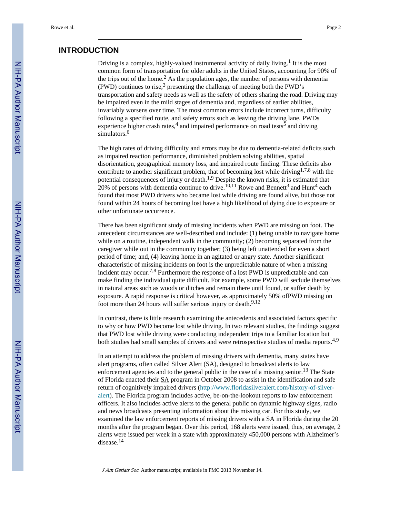## **INTRODUCTION**

Driving is a complex, highly-valued instrumental activity of daily living.<sup>1</sup> It is the most common form of transportation for older adults in the United States, accounting for 90% of the trips out of the home.<sup>2</sup> As the population ages, the number of persons with dementia (PWD) continues to rise,  $3$  presenting the challenge of meeting both the PWD's transportation and safety needs as well as the safety of others sharing the road. Driving may be impaired even in the mild stages of dementia and, regardless of earlier abilities, invariably worsens over time. The most common errors include incorrect turns, difficulty following a specified route, and safety errors such as leaving the driving lane. PWDs experience higher crash rates,<sup>4</sup> and impaired performance on road tests<sup>5</sup> and driving simulators.<sup>6</sup>

The high rates of driving difficulty and errors may be due to dementia-related deficits such as impaired reaction performance, diminished problem solving abilities, spatial disorientation, geographical memory loss, and impaired route finding. These deficits also contribute to another significant problem, that of becoming lost while driving<sup>1,7,8</sup> with the potential consequences of injury or death.<sup>1,9</sup> Despite the known risks, it is estimated that 20% of persons with dementia continue to drive.<sup>10,11</sup> Rowe and Bennett<sup>3</sup> and Hunt<sup>4</sup> each found that most PWD drivers who became lost while driving are found alive, but those not found within 24 hours of becoming lost have a high likelihood of dying due to exposure or other unfortunate occurrence.

There has been significant study of missing incidents when PWD are missing on foot. The antecedent circumstances are well-described and include: (1) being unable to navigate home while on a routine, independent walk in the community; (2) becoming separated from the caregiver while out in the community together; (3) being left unattended for even a short period of time; and, (4) leaving home in an agitated or angry state. Another significant characteristic of missing incidents on foot is the unpredictable nature of when a missing incident may occur.<sup>7,8</sup> Furthermore the response of a lost PWD is unpredictable and can make finding the individual quite difficult. For example, some PWD will seclude themselves in natural areas such as woods or ditches and remain there until found, or suffer death by exposure. A rapid response is critical however, as approximately 50% ofPWD missing on foot more than 24 hours will suffer serious injury or death. $9,12$ 

In contrast, there is little research examining the antecedents and associated factors specific to why or how PWD become lost while driving. In two relevant studies, the findings suggest that PWD lost while driving were conducting independent trips to a familiar location but both studies had small samples of drivers and were retrospective studies of media reports.<sup>4,9</sup>

In an attempt to address the problem of missing drivers with dementia, many states have alert programs, often called Silver Alert (SA), designed to broadcast alerts to law enforcement agencies and to the general public in the case of a missing senior.<sup>13</sup> The State of Florida enacted their SA program in October 2008 to assist in the identification and safe return of cognitively impaired drivers [\(http://www.floridasilveralert.com/history-of-silver](http://www.floridasilveralert.com/history-of-silver-alert)[alert\)](http://www.floridasilveralert.com/history-of-silver-alert). The Florida program includes active, be-on-the-lookout reports to law enforcement officers. It also includes active alerts to the general public on dynamic highway signs, radio and news broadcasts presenting information about the missing car. For this study, we examined the law enforcement reports of missing drivers with a SA in Florida during the 20 months after the program began. Over this period, 168 alerts were issued, thus, on average, 2 alerts were issued per week in a state with approximately 450,000 persons with Alzheimer's disease.<sup>14</sup>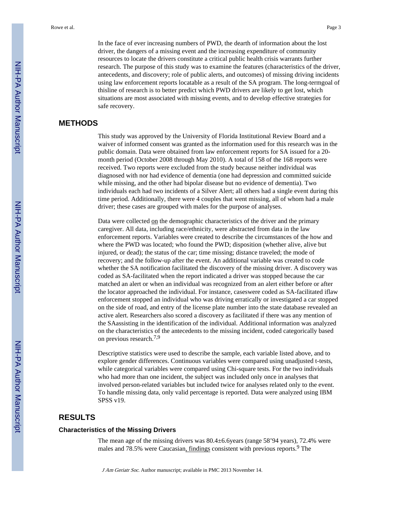In the face of ever increasing numbers of PWD, the dearth of information about the lost driver, the dangers of a missing event and the increasing expenditure of community resources to locate the drivers constitute a critical public health crisis warrants further research. The purpose of this study was to examine the features (characteristics of the driver, antecedents, and discovery; role of public alerts, and outcomes) of missing driving incidents using law enforcement reports locatable as a result of the SA program. The long-termgoal of thisline of research is to better predict which PWD drivers are likely to get lost, which situations are most associated with missing events, and to develop effective strategies for safe recovery.

## **METHODS**

This study was approved by the University of Florida Institutional Review Board and a waiver of informed consent was granted as the information used for this research was in the public domain. Data were obtained from law enforcement reports for SA issued for a 20 month period (October 2008 through May 2010). A total of 158 of the 168 reports were received. Two reports were excluded from the study because neither individual was diagnosed with nor had evidence of dementia (one had depression and committed suicide while missing, and the other had bipolar disease but no evidence of dementia). Two individuals each had two incidents of a Silver Alert; all others had a single event during this time period. Additionally, there were 4 couples that went missing, all of whom had a male driver; these cases are grouped with males for the purpose of analyses.

Data were collected on the demographic characteristics of the driver and the primary caregiver. All data, including race/ethnicity, were abstracted from data in the law enforcement reports. Variables were created to describe the circumstances of the how and where the PWD was located; who found the PWD; disposition (whether alive, alive but injured, or dead); the status of the car; time missing; distance traveled; the mode of recovery; and the follow-up after the event. An additional variable was created to code whether the SA notification facilitated the discovery of the missing driver. A discovery was coded as SA-facilitated when the report indicated a driver was stopped because the car matched an alert or when an individual was recognized from an alert either before or after the locator approached the individual. For instance, caseswere coded as SA-facilitated iflaw enforcement stopped an individual who was driving erratically or investigated a car stopped on the side of road, and entry of the license plate number into the state database revealed an active alert. Researchers also scored a discovery as facilitated if there was any mention of the SAassisting in the identification of the individual. Additional information was analyzed on the characteristics of the antecedents to the missing incident, coded categorically based on previous research.7,9

Descriptive statistics were used to describe the sample, each variable listed above, and to explore gender differences. Continuous variables were compared using unadjusted t-tests, while categorical variables were compared using Chi-square tests. For the two individuals who had more than one incident, the subject was included only once in analyses that involved person-related variables but included twice for analyses related only to the event. To handle missing data, only valid percentage is reported. Data were analyzed using IBM SPSS v19.

## **RESULTS**

#### **Characteristics of the Missing Drivers**

The mean age of the missing drivers was 80.4±6.6years (range 58'94 years), 72.4% were males and 78.5% were Caucasian, findings consistent with previous reports.<sup>9</sup> The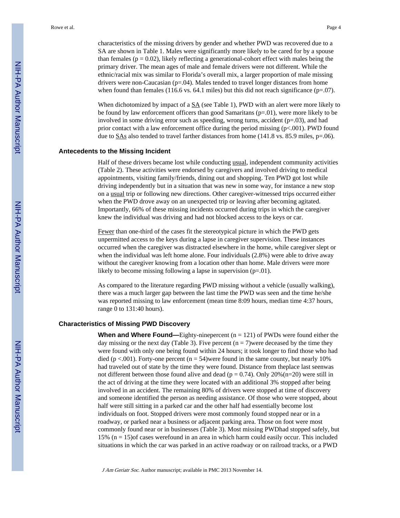characteristics of the missing drivers by gender and whether PWD was recovered due to a SA are shown in Table 1. Males were significantly more likely to be cared for by a spouse than females ( $p = 0.02$ ), likely reflecting a generational-cohort effect with males being the primary driver. The mean ages of male and female drivers were not different. While the ethnic/racial mix was similar to Florida's overall mix, a larger proportion of male missing drivers were non-Caucasian  $(p=0.04)$ . Males tended to travel longer distances from home when found than females (116.6 vs. 64.1 miles) but this did not reach significance ( $p=.07$ ).

When dichotomized by impact of a  $\underline{SA}$  (see Table 1), PWD with an alert were more likely to be found by law enforcement officers than good Samaritans  $(p=0.01)$ , were more likely to be involved in some driving error such as speeding, wrong turns, accident  $(p=.03)$ , and had prior contact with a law enforcement office during the period missing  $(p<.001)$ . PWD found due to  $\underline{SAs}$  also tended to travel farther distances from home (141.8 vs. 85.9 miles, p=.06).

#### **Antecedents to the Missing Incident**

Half of these drivers became lost while conducting usual, independent community activities (Table 2). These activities were endorsed by caregivers and involved driving to medical appointments, visiting family/friends, dining out and shopping. Ten PWD got lost while driving independently but in a situation that was new in some way, for instance a new stop on a usual trip or following new directions. Other caregiver-witnessed trips occurred either when the PWD drove away on an unexpected trip or leaving after becoming agitated. Importantly, 66% of these missing incidents occurred during trips in which the caregiver knew the individual was driving and had not blocked access to the keys or car.

Fewer than one-third of the cases fit the stereotypical picture in which the PWD gets unpermitted access to the keys during a lapse in caregiver supervision. These instances occurred when the caregiver was distracted elsewhere in the home, while caregiver slept or when the individual was left home alone. Four individuals (2.8%) were able to drive away without the caregiver knowing from a location other than home. Male drivers were more likely to become missing following a lapse in supervision (p=.01).

As compared to the literature regarding PWD missing without a vehicle (usually walking), there was a much larger gap between the last time the PWD was seen and the time he/she was reported missing to law enforcement (mean time 8:09 hours, median time 4:37 hours, range 0 to 131:40 hours).

#### **Characteristics of Missing PWD Discovery**

**When and Where Found—**Eighty-ninepercent (n = 121) of PWDs were found either the day missing or the next day (Table 3). Five percent  $(n = 7)$  were deceased by the time they were found with only one being found within 24 hours; it took longer to find those who had died (p  $\lt$ .001). Forty-one percent (n = 54)were found in the same county, but nearly 10% had traveled out of state by the time they were found. Distance from theplace last seenwas not different between those found alive and dead ( $p = 0.74$ ). Only 20%(n=20) were still in the act of driving at the time they were located with an additional 3% stopped after being involved in an accident. The remaining 80% of drivers were stopped at time of discovery and someone identified the person as needing assistance. Of those who were stopped, about half were still sitting in a parked car and the other half had essentially become lost individuals on foot. Stopped drivers were most commonly found stopped near or in a roadway, or parked near a business or adjacent parking area. Those on foot were most commonly found near or in businesses (Table 3). Most missing PWDhad stopped safely, but 15% (n = 15)of cases werefound in an area in which harm could easily occur. This included situations in which the car was parked in an active roadway or on railroad tracks, or a PWD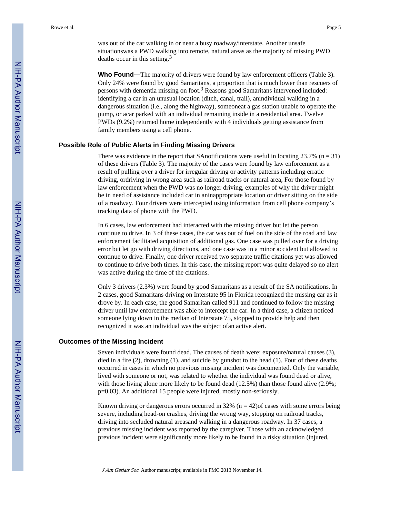**Who Found—**The majority of drivers were found by law enforcement officers (Table 3). Only 24% were found by good Samaritans, a proportion that is much lower than rescuers of persons with dementia missing on foot.<sup>9</sup> Reasons good Samaritans intervened included: identifying a car in an unusual location (ditch, canal, trail), anindividual walking in a dangerous situation (i.e., along the highway), someoneat a gas station unable to operate the pump, or acar parked with an individual remaining inside in a residential area. Twelve PWDs (9.2%) returned home independently with 4 individuals getting assistance from family members using a cell phone.

#### **Possible Role of Public Alerts in Finding Missing Drivers**

There was evidence in the report that SAnotifications were useful in locating  $23.7\%$  (n = 31) of these drivers (Table 3). The majority of the cases were found by law enforcement as a result of pulling over a driver for irregular driving or activity patterns including erratic driving, ordriving in wrong area such as railroad tracks or natural area, For those found by law enforcement when the PWD was no longer driving, examples of why the driver might be in need of assistance included car in aninappropriate location or driver sitting on the side of a roadway. Four drivers were intercepted using information from cell phone company's tracking data of phone with the PWD.

In 6 cases, law enforcement had interacted with the missing driver but let the person continue to drive. In 3 of these cases, the car was out of fuel on the side of the road and law enforcement facilitated acquisition of additional gas. One case was pulled over for a driving error but let go with driving directions, and one case was in a minor accident but allowed to continue to drive. Finally, one driver received two separate traffic citations yet was allowed to continue to drive both times. In this case, the missing report was quite delayed so no alert was active during the time of the citations.

Only 3 drivers (2.3%) were found by good Samaritans as a result of the SA notifications. In 2 cases, good Samaritans driving on Interstate 95 in Florida recognized the missing car as it drove by. In each case, the good Samaritan called 911 and continued to follow the missing driver until law enforcement was able to intercept the car. In a third case, a citizen noticed someone lying down in the median of Interstate 75, stopped to provide help and then recognized it was an individual was the subject ofan active alert.

#### **Outcomes of the Missing Incident**

Seven individuals were found dead. The causes of death were: exposure/natural causes (3), died in a fire (2), drowning (1), and suicide by gunshot to the head (1). Four of these deaths occurred in cases in which no previous missing incident was documented. Only the variable, lived with someone or not, was related to whether the individual was found dead or alive, with those living alone more likely to be found dead (12.5%) than those found alive (2.9%; p=0.03). An additional 15 people were injured, mostly non-seriously.

Known driving or dangerous errors occurred in 32% ( $n = 42$ ) of cases with some errors being severe, including head-on crashes, driving the wrong way, stopping on railroad tracks, driving into secluded natural areasand walking in a dangerous roadway. In 37 cases, a previous missing incident was reported by the caregiver. Those with an acknowledged previous incident were significantly more likely to be found in a risky situation (injured,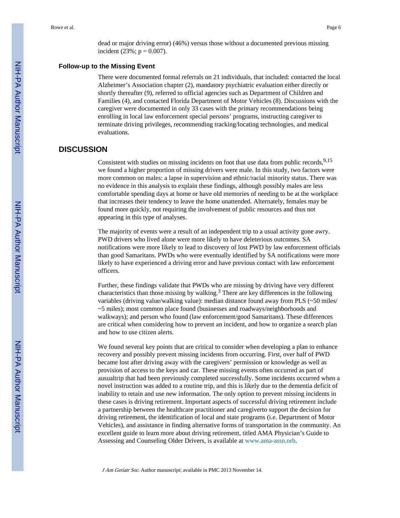dead or major driving error) (46%) versus those without a documented previous missing incident (23%;  $p = 0.007$ ).

#### **Follow-up to the Missing Event**

There were documented formal referrals on 21 individuals, that included: contacted the local Alzheimer's Association chapter (2), mandatory psychiatric evaluation either directly or shortly thereafter (9), referred to official agencies such as Department of Children and Families (4), and contacted Florida Department of Motor Vehicles (8). Discussions with the caregiver were documented in only 33 cases with the primary recommendations being enrolling in local law enforcement special persons' programs, instructing caregiver to terminate driving privileges, recommending tracking/locating technologies, and medical evaluations.

## **DISCUSSION**

Consistent with studies on missing incidents on foot that use data from public records,  $9,15$ we found a higher proportion of missing drivers were male. In this study, two factors were more common on males: a lapse in supervision and ethnic/racial minority status. There was no evidence in this analysis to explain these findings, although possibly males are less comfortable spending days at home or have old memories of needing to be at the workplace that increases their tendency to leave the home unattended. Alternately, females may be found more quickly, not requiring the involvement of public resources and thus not appearing in this type of analyses.

The majority of events were a result of an independent trip to a usual activity gone awry. PWD drivers who lived alone were more likely to have deleterious outcomes. SA notifications were more likely to lead to discovery of lost PWD by law enforcement officials than good Samaritans. PWDs who were eventually identified by SA notifications were more likely to have experienced a driving error and have previous contact with law enforcement officers.

Further, these findings validate that PWDs who are missing by driving have very different characteristics than those missing by walking.<sup>3</sup> There are key differences in the following variables (driving value/walking value): median distance found away from PLS (~50 miles/ ~5 miles); most common place found (businesses and roadways/neighborhoods and walkways); and person who found (law enforcement/good Samaritans). These differences are critical when considering how to prevent an incident, and how to organize a search plan and how to use citizen alerts.

We found several key points that are critical to consider when developing a plan to enhance recovery and possibly prevent missing incidents from occurring. First, over half of PWD became lost after driving away with the caregivers' permission or knowledge as well as provision of access to the keys and car. These missing events often occurred as part of ausualtrip that had been previously completed successfully. Some incidents occurred when a novel instruction was added to a routine trip, and this is likely due to the dementia deficit of inability to retain and use new information. The only option to prevent missing incidents in these cases is driving retirement. Important aspects of successful driving retirement include a partnership between the healthcare practitioner and caregiverto support the decision for driving retirement, the identification of local and state programs (i.e. Department of Motor Vehicles), and assistance in finding alternative forms of transportation in the community. An excellent guide to learn more about driving retirement, titled AMA Physician's Guide to Assessing and Counseling Older Drivers, is available at www.ama-assn.orb.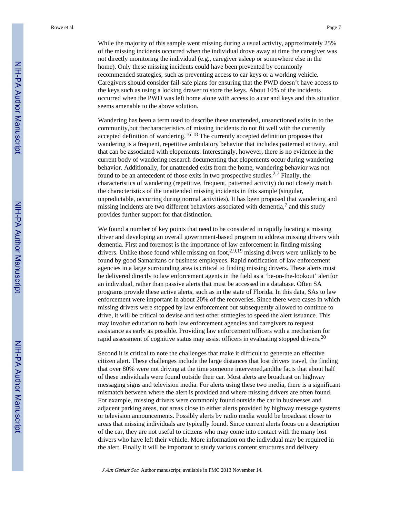While the majority of this sample went missing during a usual activity, approximately 25% of the missing incidents occurred when the individual drove away at time the caregiver was not directly monitoring the individual (e.g., caregiver asleep or somewhere else in the home). Only these missing incidents could have been prevented by commonly recommended strategies, such as preventing access to car keys or a working vehicle. Caregivers should consider fail-safe plans for ensuring that the PWD doesn't have access to the keys such as using a locking drawer to store the keys. About 10% of the incidents occurred when the PWD was left home alone with access to a car and keys and this situation seems amenable to the above solution.

Wandering has been a term used to describe these unattended, unsanctioned exits in to the community,but thecharacteristics of missing incidents do not fit well with the currently accepted definition of wandering.<sup>16'18</sup> The currently accepted definition proposes that wandering is a frequent, repetitive ambulatory behavior that includes patterned activity, and that can be associated with elopements. Interestingly, however, there is no evidence in the current body of wandering research documenting that elopements occur during wandering behavior. Additionally, for unattended exits from the home, wandering behavior was not found to be an antecedent of those exits in two prospective studies.<sup>2,7</sup> Finally, the characteristics of wandering (repetitive, frequent, patterned activity) do not closely match the characteristics of the unattended missing incidents in this sample (singular, unpredictable, occurring during normal activities). It has been proposed that wandering and missing incidents are two different behaviors associated with dementia, $<sup>7</sup>$  and this study</sup> provides further support for that distinction.

We found a number of key points that need to be considered in rapidly locating a missing driver and developing an overall government-based program to address missing drivers with dementia. First and foremost is the importance of law enforcement in finding missing drivers. Unlike those found while missing on foot,<sup>2,9,19</sup> missing drivers were unlikely to be found by good Samaritans or business employees. Rapid notification of law enforcement agencies in a large surrounding area is critical to finding missing drivers. These alerts must be delivered directly to law enforcement agents in the field as a 'be-on-the-lookout' alertfor an individual, rather than passive alerts that must be accessed in a database. Often SA programs provide these active alerts, such as in the state of Florida. In this data, SAs to law enforcement were important in about 20% of the recoveries. Since there were cases in which missing drivers were stopped by law enforcement but subsequently allowed to continue to drive, it will be critical to devise and test other strategies to speed the alert issuance. This may involve education to both law enforcement agencies and caregivers to request assistance as early as possible. Providing law enforcement officers with a mechanism for rapid assessment of cognitive status may assist officers in evaluating stopped drivers.<sup>20</sup>

Second it is critical to note the challenges that make it difficult to generate an effective citizen alert. These challenges include the large distances that lost drivers travel, the finding that over 80% were not driving at the time someone intervened,andthe facts that about half of these individuals were found outside their car. Most alerts are broadcast on highway messaging signs and television media. For alerts using these two media, there is a significant mismatch between where the alert is provided and where missing drivers are often found. For example, missing drivers were commonly found outside the car in businesses and adjacent parking areas, not areas close to either alerts provided by highway message systems or television announcements. Possibly alerts by radio media would be broadcast closer to areas that missing individuals are typically found. Since current alerts focus on a description of the car, they are not useful to citizens who may come into contact with the many lost drivers who have left their vehicle. More information on the individual may be required in the alert. Finally it will be important to study various content structures and delivery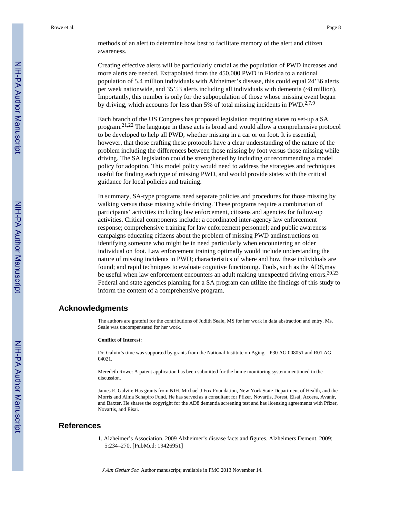Rowe et al. Page 8

methods of an alert to determine how best to facilitate memory of the alert and citizen awareness.

Creating effective alerts will be particularly crucial as the population of PWD increases and more alerts are needed. Extrapolated from the 450,000 PWD in Florida to a national population of 5.4 million individuals with Alzheimer's disease, this could equal 24'36 alerts per week nationwide, and 35'53 alerts including all individuals with dementia (~8 million). Importantly, this number is only for the subpopulation of those whose missing event began by driving, which accounts for less than 5% of total missing incidents in PWD.2,7,9

Each branch of the US Congress has proposed legislation requiring states to set-up a SA program.21,22 The language in these acts is broad and would allow a comprehensive protocol to be developed to help all PWD, whether missing in a car or on foot. It is essential, however, that those crafting these protocols have a clear understanding of the nature of the problem including the differences between those missing by foot versus those missing while driving. The SA legislation could be strengthened by including or recommending a model policy for adoption. This model policy would need to address the strategies and techniques useful for finding each type of missing PWD, and would provide states with the critical guidance for local policies and training.

In summary, SA-type programs need separate policies and procedures for those missing by walking versus those missing while driving. These programs require a combination of participants' activities including law enforcement, citizens and agencies for follow-up activities. Critical components include: a coordinated inter-agency law enforcement response; comprehensive training for law enforcement personnel; and public awareness campaigns educating citizens about the problem of missing PWD andinstructions on identifying someone who might be in need particularly when encountering an older individual on foot. Law enforcement training optimally would include understanding the nature of missing incidents in PWD; characteristics of where and how these individuals are found; and rapid techniques to evaluate cognitive functioning. Tools, such as the AD8,may be useful when law enforcement encounters an adult making unexpected driving errors.<sup>20,23</sup> Federal and state agencies planning for a SA program can utilize the findings of this study to inform the content of a comprehensive program.

#### **Acknowledgments**

The authors are grateful for the contributions of Judith Seale, MS for her work in data abstraction and entry. Ms. Seale was uncompensated for her work.

#### **Conflict of Interest:**

Dr. Galvin's time was supported by grants from the National Institute on Aging – P30 AG 008051 and R01 AG 04021.

Meredeth Rowe: A patent application has been submitted for the home monitoring system mentioned in the discussion.

James E. Galvin: Has grants from NIH, Michael J Fox Foundation, New York State Department of Health, and the Morris and Alma Schapiro Fund. He has served as a consultant for Pfizer, Novartis, Forest, Eisai, Accera, Avanir, and Baxter. He shares the copyright for the AD8 dementia screening test and has licensing agreements with Pfizer, Novartis, and Eisai.

## **References**

1. Alzheimer's Association. 2009 Alzheimer's disease facts and figures. Alzheimers Dement. 2009; 5:234–270. [PubMed: 19426951]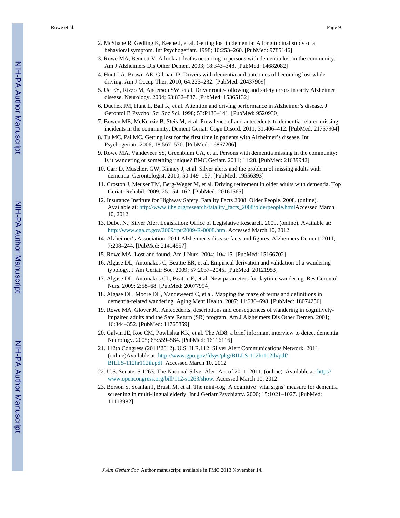Rowe et al. Page 9

- 2. McShane R, Gedling K, Keene J, et al. Getting lost in dementia: A longitudinal study of a behavioral symptom. Int Psychogeriatr. 1998; 10:253–260. [PubMed: 9785146]
- 3. Rowe MA, Bennett V. A look at deaths occurring in persons with dementia lost in the community. Am J Alzheimers Dis Other Demen. 2003; 18:343–348. [PubMed: 14682082]
- 4. Hunt LA, Brown AE, Gilman IP. Drivers with dementia and outcomes of becoming lost while driving. Am J Occup Ther. 2010; 64:225–232. [PubMed: 20437909]
- 5. Uc EY, Rizzo M, Anderson SW, et al. Driver route-following and safety errors in early Alzheimer disease. Neurology. 2004; 63:832–837. [PubMed: 15365132]
- 6. Duchek JM, Hunt L, Ball K, et al. Attention and driving performance in Alzheimer's disease. J Gerontol B Psychol Sci Soc Sci. 1998; 53:P130–141. [PubMed: 9520930]
- 7. Bowen ME, McKenzie B, Steis M, et al. Prevalence of and antecedents to dementia-related missing incidents in the community. Dement Geriatr Cogn Disord. 2011; 31:406–412. [PubMed: 21757904]
- 8. Tu MC, Pai MC. Getting lost for the first time in patients with Alzheimer's disease. Int Psychogeriatr. 2006; 18:567–570. [PubMed: 16867206]
- 9. Rowe MA, Vandeveer SS, Greenblum CA, et al. Persons with dementia missing in the community: Is it wandering or something unique? BMC Geriatr. 2011; 11:28. [PubMed: 21639942]
- 10. Carr D, Muschert GW, Kinney J, et al. Silver alerts and the problem of missing adults with dementia. Gerontologist. 2010; 50:149–157. [PubMed: 19556393]
- 11. Croston J, Meuser TM, Berg-Weger M, et al. Driving retirement in older adults with dementia. Top Geriatr Rehabil. 2009; 25:154–162. [PubMed: 20161565]
- 12. Insurance Institute for Highway Safety. Fatality Facts 2008: Older People. 2008. (online). Available at: [http://www.iihs.org/research/fatality\\_facts\\_2008/olderpeople.html](http://www.iihs.org/research/fatality_facts_2008/olderpeople.html)Accessed March 10, 2012
- 13. Dube, N.; Silver Alert Legislation: Office of Legislative Research. 2009. (online). Available at: [http://www.cga.ct.gov/2009/rpt/2009-R-0008.htm.](http://www.cga.ct.gov/2009/rpt/2009-R-0008.htm) Accessed March 10, 2012
- 14. Alzheimer's Association. 2011 Alzheimer's disease facts and figures. Alzheimers Dement. 2011; 7:208–244. [PubMed: 21414557]
- 15. Rowe MA. Lost and found. Am J Nurs. 2004; 104:15. [PubMed: 15166702]
- 16. Algase DL, Antonakos C, Beattie ER, et al. Empirical derivation and validation of a wandering typology. J Am Geriatr Soc. 2009; 57:2037–2045. [PubMed: 20121953]
- 17. Algase DL, Antonakos CL, Beattie E, et al. New parameters for daytime wandering. Res Gerontol Nurs. 2009; 2:58–68. [PubMed: 20077994]
- 18. Algase DL, Moore DH, Vandeweerd C, et al. Mapping the maze of terms and definitions in dementia-related wandering. Aging Ment Health. 2007; 11:686–698. [PubMed: 18074256]
- 19. Rowe MA, Glover JC. Antecedents, descriptions and consequences of wandering in cognitivelyimpaired adults and the Safe Return (SR) program. Am J Alzheimers Dis Other Demen. 2001; 16:344–352. [PubMed: 11765859]
- 20. Galvin JE, Roe CM, Powlishta KK, et al. The AD8: a brief informant interview to detect dementia. Neurology. 2005; 65:559–564. [PubMed: 16116116]
- 21. 112th Congress (2011'2012). U.S. H.R.112: Silver Alert Communications Network. 2011. (online)Available at: [http://www.gpo.gov/fdsys/pkg/BILLS-112hr112ih/pdf/](http://www.gpo.gov/fdsys/pkg/BILLS-112hr112ih/pdf/BILLS-112hr112ih.pdf) [BILLS-112hr112ih.pdf.](http://www.gpo.gov/fdsys/pkg/BILLS-112hr112ih/pdf/BILLS-112hr112ih.pdf) Accessed March 10, 2012
- 22. U.S. Senate. S.1263: The National Silver Alert Act of 2011. 2011. (online). Available at: [http://](http://www.opencongress.org/bill/112-s1263/show) [www.opencongress.org/bill/112-s1263/show](http://www.opencongress.org/bill/112-s1263/show). Accessed March 10, 2012
- 23. Borson S, Scanlan J, Brush M, et al. The mini-cog: A cognitive 'vital signs' measure for dementia screening in multi-lingual elderly. Int J Geriatr Psychiatry. 2000; 15:1021–1027. [PubMed: 11113982]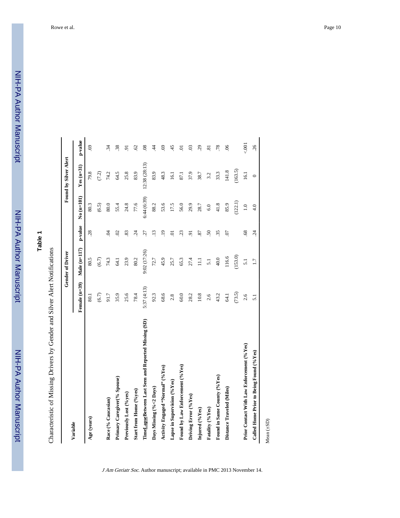Characteristic of Missing Drivers by Gender and Silver Alert Notifications Characteristic of Missing Drivers by Gender and Silver Alert Notifications

| Female (n=39)<br>25.6<br>78.4<br>35.9<br>(6.7)<br>91.7<br>80.1<br>Primary Caregiver(% Spouse)<br>Start from Home (%yes)<br>Previously Lost (%yes)<br>Race (% Caucasian)<br>Age (years)<br>Variable | Male $(n=117)$<br>80.5<br>(6.7) | p-value         | $No$ $(n=101)$ | $Yes (n=31)$  |                |
|----------------------------------------------------------------------------------------------------------------------------------------------------------------------------------------------------|---------------------------------|-----------------|----------------|---------------|----------------|
|                                                                                                                                                                                                    |                                 |                 |                |               | p-value        |
|                                                                                                                                                                                                    |                                 | 28              | 80.3           | 79.8          | 69             |
|                                                                                                                                                                                                    |                                 |                 | (6.5)          | (7.2)         |                |
|                                                                                                                                                                                                    | 74.3                            | $\overline{6}$  | 80.0           | 74.2          | 34             |
|                                                                                                                                                                                                    | 54.1                            | $\mathcal{S}$   | 55.4           | 64.5          | 38             |
|                                                                                                                                                                                                    | 23.9                            | 83              | 24.8           | 25.8          | 5              |
|                                                                                                                                                                                                    | 80.2                            | $\ddot{c}$      | 77.6           | 83.9          | $\mathcal{O}$  |
| 5:37(4:13)<br>TimeLapseBetween Last Seen and Reported Missing (SD)                                                                                                                                 | 9:02 (17:26)                    | 27              | 6:44 (6:39)    | 12:38 (28:13) | 08             |
| 92.3<br>Days Missing (%<2 Days)                                                                                                                                                                    | 72.7                            | $\overline{13}$ | 88.2           | 83.9          | 4              |
| 68.6<br>Activity Engaged "Normal" (%Yes)                                                                                                                                                           | 45.9                            | .19             | 53.6           | 48.3          | 69             |
| 2.8<br>Lapse in Supervision (% Yes)                                                                                                                                                                | 25.7                            | ā               | 17.5           | 16.1          | 45             |
| 60.0<br>Found by Law Enforcement (%Yes)                                                                                                                                                            | 65.3                            | 23              | 56.0           | 87.1          | ਙ              |
| 28.2<br>Driving Error (%Yes)                                                                                                                                                                       | 27.4                            | 5               | 29.9           | 37.9          | $\mathfrak{S}$ |
| 10.8<br>Injured (%Yes)                                                                                                                                                                             | $\Xi$                           | 87              | 28.7           | 38.7          | 29             |
| 2.6<br>Fatality (%Yes)                                                                                                                                                                             | 5.1                             | 50              | 6.0            | 3.2           | ವ              |
| 43.2<br>Found in Same County (%Yes)                                                                                                                                                                | 40.0                            | 35              | 41.8           | 33.3          | .78            |
| <b>54.1</b><br>Distance Traveled (Miles)                                                                                                                                                           | 116.6                           | $\overline{0}$  | 85.9           | 141.8         | $\overline{0}$ |
| (73.5)                                                                                                                                                                                             | (153.0)                         |                 | (122.1)        | (163.5)       |                |
| 2.6<br>Prior Contact With Law Enforcement (%Yes)                                                                                                                                                   | $\overline{5.1}$                | 68              | $1.0\,$        | 16.1          | 5001           |
| $\overline{5.1}$<br>Called Home Prior to Being Found (%Yes)                                                                                                                                        | 1.7                             | $\ddot{c}$      | 4.0            | $\circ$       | .26            |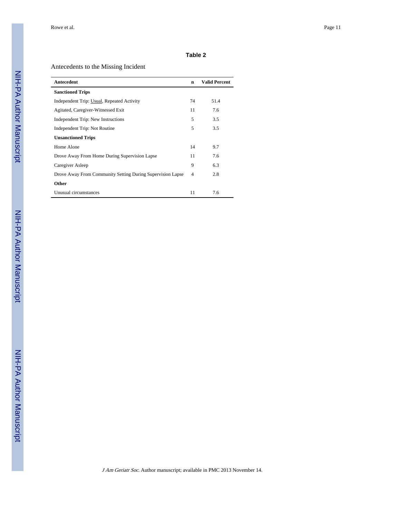## Antecedents to the Missing Incident

| Antecedent                                                 | $\mathbf n$ | <b>Valid Percent</b> |
|------------------------------------------------------------|-------------|----------------------|
| <b>Sanctioned Trips</b>                                    |             |                      |
| Independent Trip: Usual, Repeated Activity                 | 74          | 51.4                 |
| Agitated, Caregiver-Witnessed Exit                         | 11          | 7.6                  |
| Independent Trip: New Instructions                         | 5           | 3.5                  |
| Independent Trip: Not Routine                              | 5           | 3.5                  |
| <b>Unsanctioned Trips</b>                                  |             |                      |
| Home Alone                                                 | 14          | 9.7                  |
| Drove Away From Home During Supervision Lapse              | 11          | 7.6                  |
| Caregiver Asleep                                           | 9           | 6.3                  |
| Drove Away From Community Setting During Supervision Lapse | 4           | 2.8                  |
| Other                                                      |             |                      |
| Unusual circumstances                                      | 11          | 7.6                  |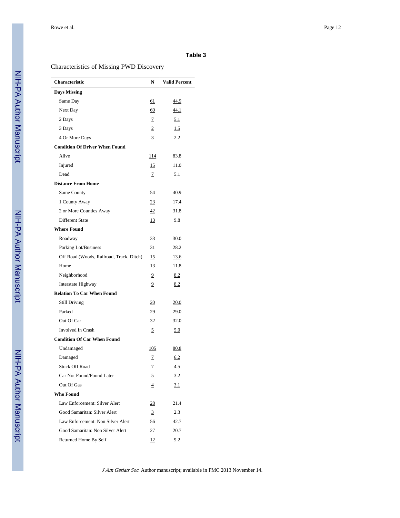## Characteristics of Missing PWD Discovery

| <b>Characteristic</b>                    | N              | <b>Valid Percent</b> |
|------------------------------------------|----------------|----------------------|
| <b>Days Missing</b>                      |                |                      |
| Same Day                                 | 61             | <u>44.9</u>          |
| Next Day                                 | 60             | 44.1                 |
| 2 Days                                   | 7              | 5.1                  |
| 3 Days                                   | 2              | 1.5                  |
| 4 Or More Days                           | 3              | 2.2                  |
| <b>Condition Of Driver When Found</b>    |                |                      |
| Alive                                    | <u> 114</u>    | 83.8                 |
| Injured                                  | 15             | 11.0                 |
| Dead                                     | 7              | 5.1                  |
| <b>Distance From Home</b>                |                |                      |
| Same County                              | 54             | 40.9                 |
| 1 County Away                            | 23             | 17.4                 |
| 2 or More Counties Away                  | 42             | 31.8                 |
| Different State                          | 13             | 9.8                  |
| <b>Where Found</b>                       |                |                      |
| Roadway                                  | 33             | 30.0                 |
| Parking Lot/Business                     | 31             | 28.2                 |
| Off Road (Woods, Railroad, Track, Ditch) | 15             | <u>13.6</u>          |
| Home                                     | 13             | <u>11.8</u>          |
| Neighborhood                             | 9              | 8.2                  |
| Interstate Highway                       | 9              | 8.2                  |
| <b>Relation To Car When Found</b>        |                |                      |
| <b>Still Driving</b>                     | 20             | <u>20.0</u>          |
| Parked                                   | <u>29</u>      | <u>29.0</u>          |
| Out Of Car                               | 32             | 32.0                 |
| Involved In Crash                        | 5              | 5.0                  |
| <b>Condition Of Car When Found</b>       |                |                      |
| Undamaged                                | 105            | <u>80.8</u>          |
| Damaged                                  | $\mathcal I$   | 6.2                  |
| <b>Stuck Off Road</b>                    | $\overline{1}$ | 4.5                  |
| Car Not Found/Found Later                | 5              | 3.2                  |
| Out Of Gas                               | 4              | 3.1                  |
| Who Found                                |                |                      |
| Law Enforcement: Silver Alert            | <u>28</u>      | 21.4                 |
| Good Samaritan: Silver Alert             | 3              | 2.3                  |
| Law Enforcement: Non Silver Alert        | 56             | 42.7                 |
| Good Samaritan: Non Silver Alert         | 27             | 20.7                 |
| Returned Home By Self                    | 12             | 9.2                  |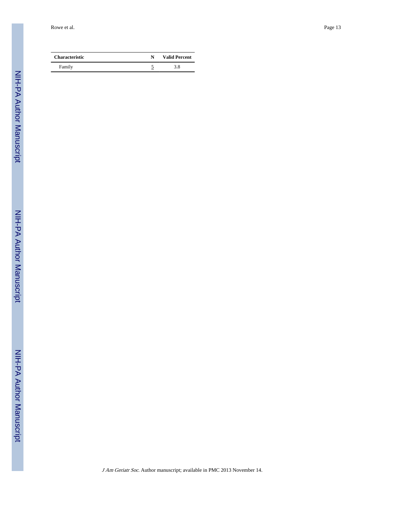Rowe et al. Page 13

| <b>Characteristic</b> | N | <b>Valid Percent</b> |
|-----------------------|---|----------------------|
| Family                |   | 3.8                  |